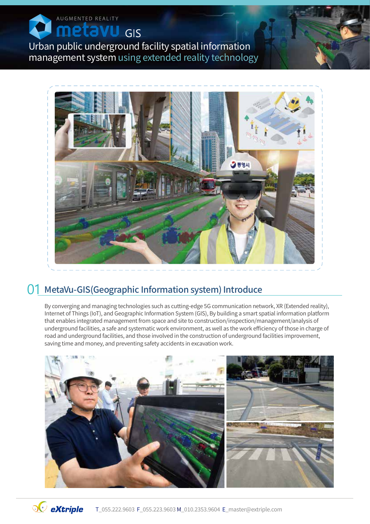AUGMENTED REALITY  $GIS$ Я

Urban public underground facility spatial information management system using extended reality technology



### 01 MetaVu-GIS (Geographic Information system) Introduce

By converging and managing technologies such as cutting-edge 5G communication network, XR (Extended reality), Internet of Things (IoT), and Geographic Information System (GIS), By building a smart spatial information platform that enables integrated management from space and site to construction/inspection/management/analysis of underground facilities, a safe and systematic work environment, as well as the work efficiency of those in charge of road and underground facilities, and those involved in the construction of underground facilities improvement, saving time and money, and preventing safety accidents in excavation work.